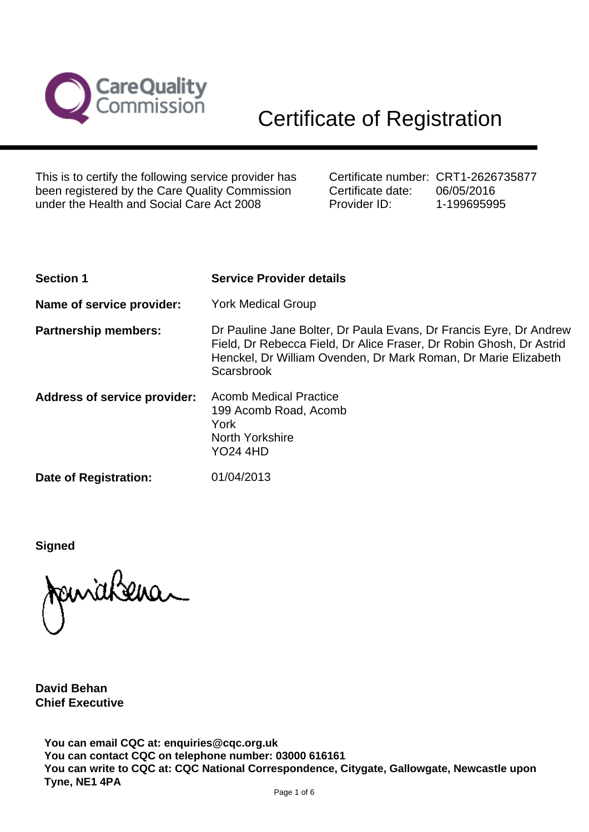

This is to certify the following service provider has been registered by the Care Quality Commission under the Health and Social Care Act 2008

Certificate number: CRT1-2626735877 Certificate date: Provider ID: 06/05/2016 1-199695995

| <b>Section 1</b>                    | <b>Service Provider details</b>                                                                                                                                                                                           |
|-------------------------------------|---------------------------------------------------------------------------------------------------------------------------------------------------------------------------------------------------------------------------|
| Name of service provider:           | <b>York Medical Group</b>                                                                                                                                                                                                 |
| <b>Partnership members:</b>         | Dr Pauline Jane Bolter, Dr Paula Evans, Dr Francis Eyre, Dr Andrew<br>Field, Dr Rebecca Field, Dr Alice Fraser, Dr Robin Ghosh, Dr Astrid<br>Henckel, Dr William Ovenden, Dr Mark Roman, Dr Marie Elizabeth<br>Scarsbrook |
| <b>Address of service provider:</b> | <b>Acomb Medical Practice</b><br>199 Acomb Road, Acomb<br>York<br><b>North Yorkshire</b><br><b>YO24 4HD</b>                                                                                                               |
| <b>Date of Registration:</b>        | 01/04/2013                                                                                                                                                                                                                |

**Signed**

**David Behan Chief Executive**

**You can email CQC at: enquiries@cqc.org.uk You can contact CQC on telephone number: 03000 616161 You can write to CQC at: CQC National Correspondence, Citygate, Gallowgate, Newcastle upon Tyne, NE1 4PA**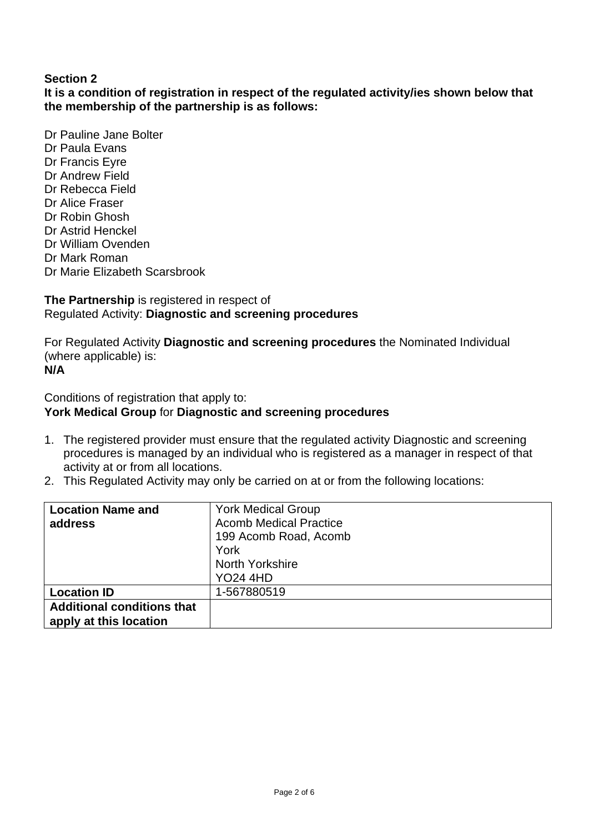# **Section 2**

**It is a condition of registration in respect of the regulated activity/ies shown below that the membership of the partnership is as follows:**

Dr Pauline Jane Bolter Dr Paula Evans Dr Francis Eyre Dr Andrew Field Dr Rebecca Field Dr Alice Fraser Dr Robin Ghosh Dr Astrid Henckel Dr William Ovenden Dr Mark Roman Dr Marie Elizabeth Scarsbrook

#### **The Partnership** is registered in respect of Regulated Activity: **Diagnostic and screening procedures**

For Regulated Activity **Diagnostic and screening procedures** the Nominated Individual (where applicable) is: **N/A**

Conditions of registration that apply to:

### **York Medical Group** for **Diagnostic and screening procedures**

- 1. The registered provider must ensure that the regulated activity Diagnostic and screening procedures is managed by an individual who is registered as a manager in respect of that activity at or from all locations.
- 2. This Regulated Activity may only be carried on at or from the following locations:

| <b>Location Name and</b>          | <b>York Medical Group</b>     |
|-----------------------------------|-------------------------------|
| address                           | <b>Acomb Medical Practice</b> |
|                                   | 199 Acomb Road, Acomb         |
|                                   | York                          |
|                                   | <b>North Yorkshire</b>        |
|                                   | <b>YO24 4HD</b>               |
| <b>Location ID</b>                | 1-567880519                   |
| <b>Additional conditions that</b> |                               |
| apply at this location            |                               |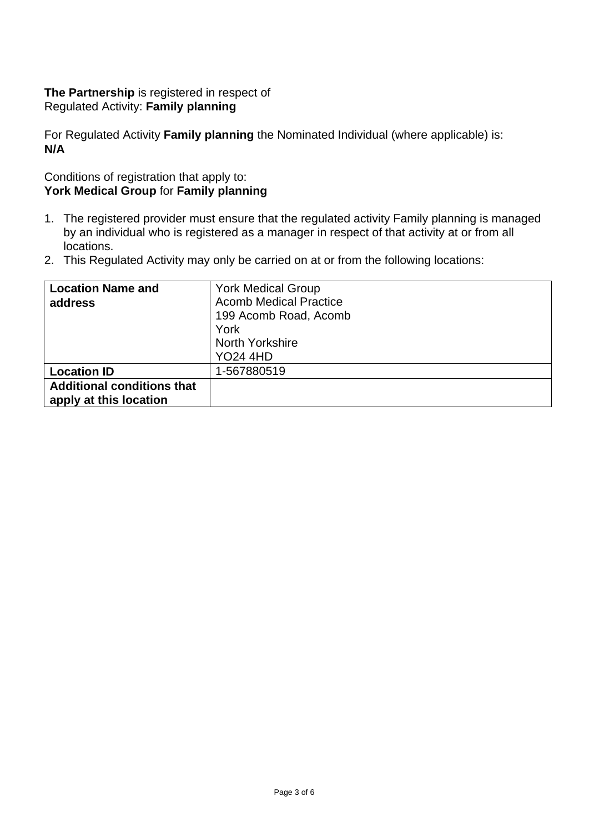## **The Partnership** is registered in respect of Regulated Activity: **Family planning**

For Regulated Activity **Family planning** the Nominated Individual (where applicable) is: **N/A**

# Conditions of registration that apply to: **York Medical Group** for **Family planning**

- 1. The registered provider must ensure that the regulated activity Family planning is managed by an individual who is registered as a manager in respect of that activity at or from all locations.
- 2. This Regulated Activity may only be carried on at or from the following locations:

| <b>Location Name and</b>          | <b>York Medical Group</b>     |
|-----------------------------------|-------------------------------|
| address                           | <b>Acomb Medical Practice</b> |
|                                   | 199 Acomb Road, Acomb         |
|                                   | York                          |
|                                   | North Yorkshire               |
|                                   | <b>YO24 4HD</b>               |
| <b>Location ID</b>                | 1-567880519                   |
| <b>Additional conditions that</b> |                               |
| apply at this location            |                               |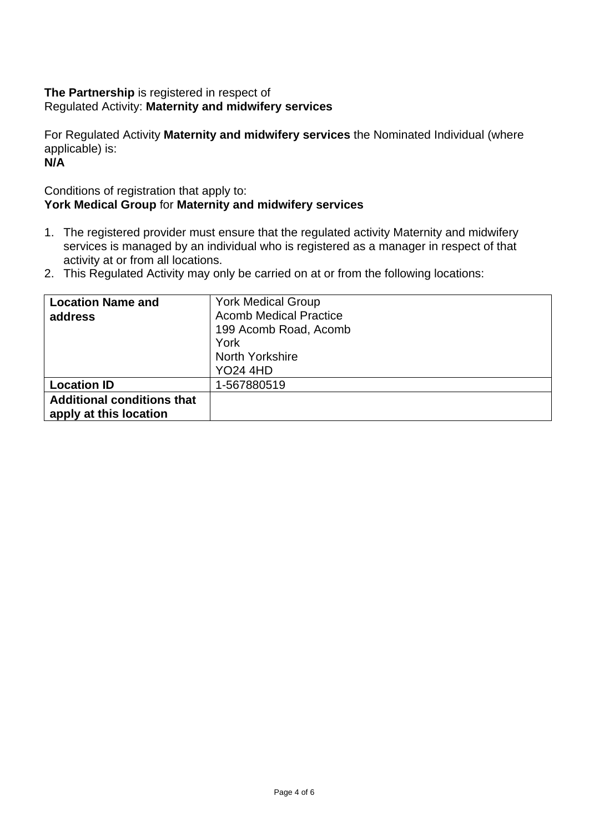# **The Partnership** is registered in respect of Regulated Activity: **Maternity and midwifery services**

For Regulated Activity **Maternity and midwifery services** the Nominated Individual (where applicable) is:

**N/A**

## Conditions of registration that apply to: **York Medical Group** for **Maternity and midwifery services**

- 1. The registered provider must ensure that the regulated activity Maternity and midwifery services is managed by an individual who is registered as a manager in respect of that activity at or from all locations.
- 2. This Regulated Activity may only be carried on at or from the following locations:

| <b>Location Name and</b>                                    | <b>York Medical Group</b>     |
|-------------------------------------------------------------|-------------------------------|
| address                                                     | <b>Acomb Medical Practice</b> |
|                                                             | 199 Acomb Road, Acomb         |
|                                                             | York                          |
|                                                             | <b>North Yorkshire</b>        |
|                                                             | <b>YO24 4HD</b>               |
| <b>Location ID</b>                                          | 1-567880519                   |
| <b>Additional conditions that</b><br>apply at this location |                               |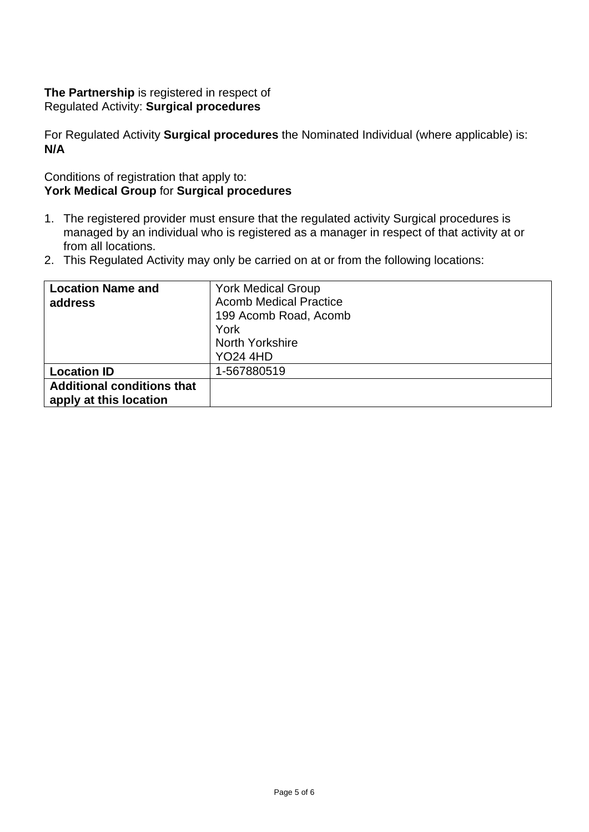## **The Partnership** is registered in respect of Regulated Activity: **Surgical procedures**

For Regulated Activity **Surgical procedures** the Nominated Individual (where applicable) is: **N/A**

## Conditions of registration that apply to: **York Medical Group** for **Surgical procedures**

- 1. The registered provider must ensure that the regulated activity Surgical procedures is managed by an individual who is registered as a manager in respect of that activity at or from all locations.
- 2. This Regulated Activity may only be carried on at or from the following locations:

| <b>Location Name and</b>          | <b>York Medical Group</b>     |
|-----------------------------------|-------------------------------|
| address                           | <b>Acomb Medical Practice</b> |
|                                   | 199 Acomb Road, Acomb         |
|                                   | York                          |
|                                   | North Yorkshire               |
|                                   | <b>YO24 4HD</b>               |
| <b>Location ID</b>                | 1-567880519                   |
| <b>Additional conditions that</b> |                               |
| apply at this location            |                               |